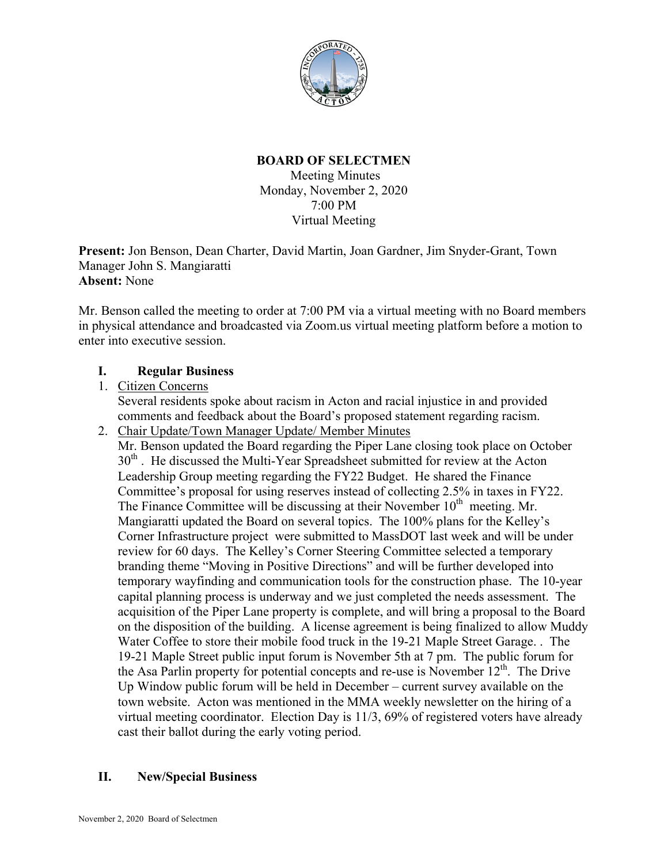

#### **BOARD OF SELECTMEN** Meeting Minutes

Monday, November 2, 2020 7:00 PM Virtual Meeting

**Present:** Jon Benson, Dean Charter, David Martin, Joan Gardner, Jim Snyder-Grant, Town Manager John S. Mangiaratti **Absent:** None

Mr. Benson called the meeting to order at 7:00 PM via a virtual meeting with no Board members in physical attendance and broadcasted via Zoom.us virtual meeting platform before a motion to enter into executive session.

# **I. Regular Business**

## 1. Citizen Concerns

Several residents spoke about racism in Acton and racial injustice in and provided comments and feedback about the Board's proposed statement regarding racism.

2. Chair Update/Town Manager Update/ Member Minutes Mr. Benson updated the Board regarding the Piper Lane closing took place on October 30<sup>th</sup>. He discussed the Multi-Year Spreadsheet submitted for review at the Acton Leadership Group meeting regarding the FY22 Budget. He shared the Finance Committee's proposal for using reserves instead of collecting 2.5% in taxes in FY22. The Finance Committee will be discussing at their November  $10<sup>th</sup>$  meeting. Mr. Mangiaratti updated the Board on several topics. The 100% plans for the Kelley's Corner Infrastructure project were submitted to MassDOT last week and will be under review for 60 days. The Kelley's Corner Steering Committee selected a temporary branding theme "Moving in Positive Directions" and will be further developed into temporary wayfinding and communication tools for the construction phase. The 10-year capital planning process is underway and we just completed the needs assessment. The acquisition of the Piper Lane property is complete, and will bring a proposal to the Board on the disposition of the building. A license agreement is being finalized to allow Muddy Water Coffee to store their mobile food truck in the 19-21 Maple Street Garage. . The 19-21 Maple Street public input forum is November 5th at 7 pm. The public forum for the Asa Parlin property for potential concepts and re-use is November  $12^{th}$ . The Drive Up Window public forum will be held in December – current survey available on the town website. Acton was mentioned in the MMA weekly newsletter on the hiring of a virtual meeting coordinator. Election Day is 11/3, 69% of registered voters have already cast their ballot during the early voting period.

# **II. New/Special Business**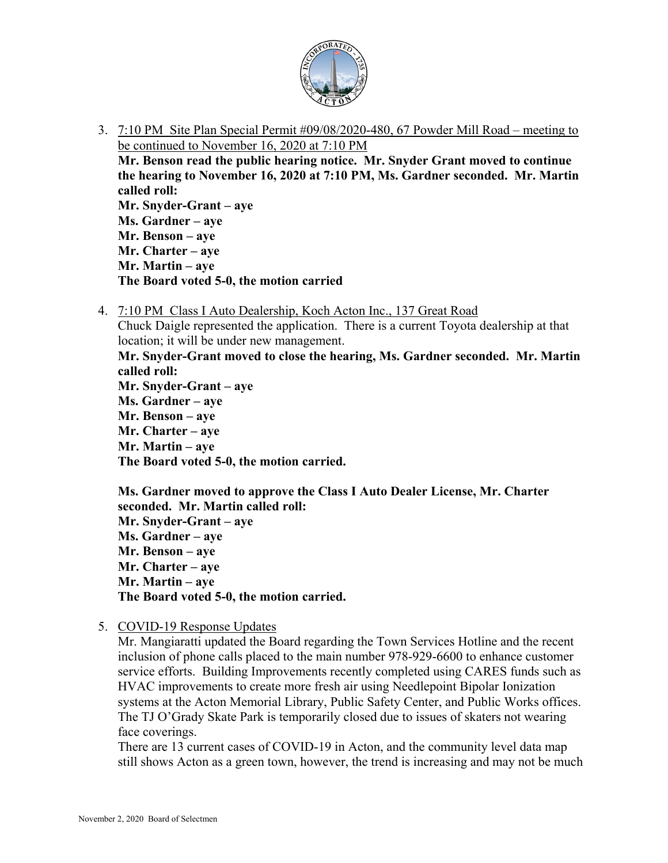

3. 7:10 PM Site Plan Special Permit #09/08/2020-480, 67 Powder Mill Road – meeting to be continued to November 16, 2020 at 7:10 PM

**Mr. Benson read the public hearing notice. Mr. Snyder Grant moved to continue the hearing to November 16, 2020 at 7:10 PM, Ms. Gardner seconded. Mr. Martin called roll:**

**Mr. Snyder-Grant – aye Ms. Gardner – aye Mr. Benson – aye Mr. Charter – aye Mr. Martin – aye The Board voted 5-0, the motion carried**

4. 7:10 PM Class I Auto Dealership, Koch Acton Inc., 137 Great Road

Chuck Daigle represented the application. There is a current Toyota dealership at that location; it will be under new management.

**Mr. Snyder-Grant moved to close the hearing, Ms. Gardner seconded. Mr. Martin called roll:**

**Mr. Snyder-Grant – aye Ms. Gardner – aye Mr. Benson – aye Mr. Charter – aye Mr. Martin – aye The Board voted 5-0, the motion carried.**

**Ms. Gardner moved to approve the Class I Auto Dealer License, Mr. Charter seconded. Mr. Martin called roll: Mr. Snyder-Grant – aye Ms. Gardner – aye Mr. Benson – aye Mr. Charter – aye Mr. Martin – aye The Board voted 5-0, the motion carried.**

5. COVID-19 Response Updates

Mr. Mangiaratti updated the Board regarding the Town Services Hotline and the recent inclusion of phone calls placed to the main number 978-929-6600 to enhance customer service efforts. Building Improvements recently completed using CARES funds such as HVAC improvements to create more fresh air using Needlepoint Bipolar Ionization systems at the Acton Memorial Library, Public Safety Center, and Public Works offices. The TJ O'Grady Skate Park is temporarily closed due to issues of skaters not wearing face coverings.

There are 13 current cases of COVID-19 in Acton, and the community level data map still shows Acton as a green town, however, the trend is increasing and may not be much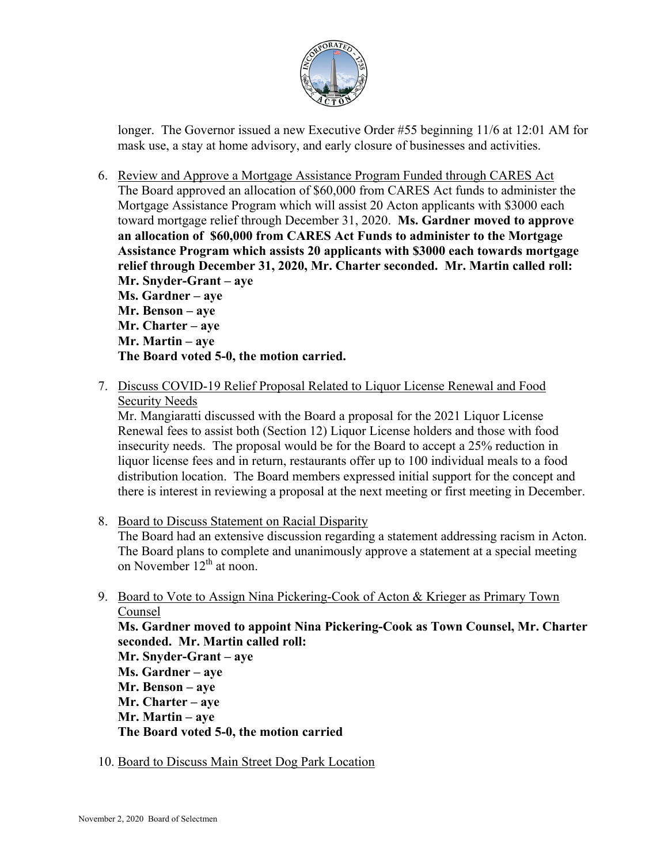

longer. The Governor issued a new Executive Order #55 beginning 11/6 at 12:01 AM for mask use, a stay at home advisory, and early closure of businesses and activities.

6. Review and Approve a Mortgage Assistance Program Funded through CARES Act The Board approved an allocation of \$60,000 from CARES Act funds to administer the Mortgage Assistance Program which will assist 20 Acton applicants with \$3000 each toward mortgage relief through December 31, 2020. **Ms. Gardner moved to approve an allocation of \$60,000 from CARES Act Funds to administer to the Mortgage Assistance Program which assists 20 applicants with \$3000 each towards mortgage relief through December 31, 2020, Mr. Charter seconded. Mr. Martin called roll: Mr. Snyder-Grant – aye Ms. Gardner – aye Mr. Benson – aye**

**Mr. Charter – aye Mr. Martin – aye The Board voted 5-0, the motion carried.**

7. Discuss COVID-19 Relief Proposal Related to Liquor License Renewal and Food Security Needs

Mr. Mangiaratti discussed with the Board a proposal for the 2021 Liquor License Renewal fees to assist both (Section 12) Liquor License holders and those with food insecurity needs. The proposal would be for the Board to accept a 25% reduction in liquor license fees and in return, restaurants offer up to 100 individual meals to a food distribution location. The Board members expressed initial support for the concept and there is interest in reviewing a proposal at the next meeting or first meeting in December.

8. Board to Discuss Statement on Racial Disparity

The Board had an extensive discussion regarding a statement addressing racism in Acton. The Board plans to complete and unanimously approve a statement at a special meeting on November  $12^{th}$  at noon.

9. Board to Vote to Assign Nina Pickering-Cook of Acton & Krieger as Primary Town Counsel

**Ms. Gardner moved to appoint Nina Pickering-Cook as Town Counsel, Mr. Charter seconded. Mr. Martin called roll:**

- **Mr. Snyder-Grant – aye Ms. Gardner – aye Mr. Benson – aye Mr. Charter – aye Mr. Martin – aye The Board voted 5-0, the motion carried**
- 10. Board to Discuss Main Street Dog Park Location